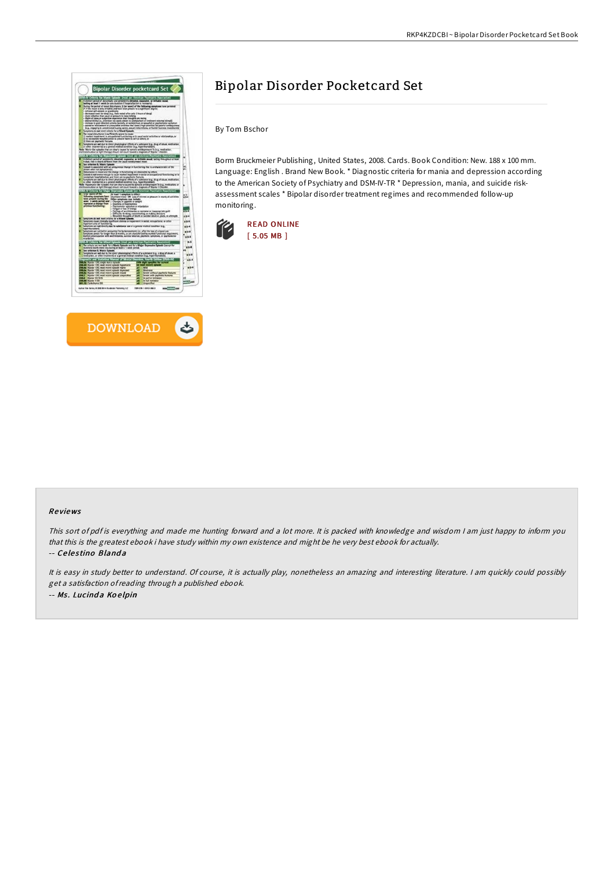



# Bipolar Disorder Pocketcard Set

By Tom Bschor

Borm Bruckmeier Publishing, United States, 2008. Cards. Book Condition: New. 188 x 100 mm. Language: English . Brand New Book. \* Diagnostic criteria for mania and depression according to the American Society of Psychiatry and DSM-IV-TR \* Depression, mania, and suicide riskassessment scales \* Bipolar disorder treatment regimes and recommended follow-up monitoring.



## Re views

This sort of pdf is everything and made me hunting forward and <sup>a</sup> lot more. It is packed with knowledge and wisdom <sup>I</sup> am just happy to inform you that this is the greatest ebook i have study within my own existence and might be he very best ebook for actually. -- Celestino Blanda

It is easy in study better to understand. Of course, it is actually play, nonetheless an amazing and interesting literature. <sup>I</sup> am quickly could possibly get <sup>a</sup> satisfaction ofreading through <sup>a</sup> published ebook. -- Ms. Lucinda Koelpin